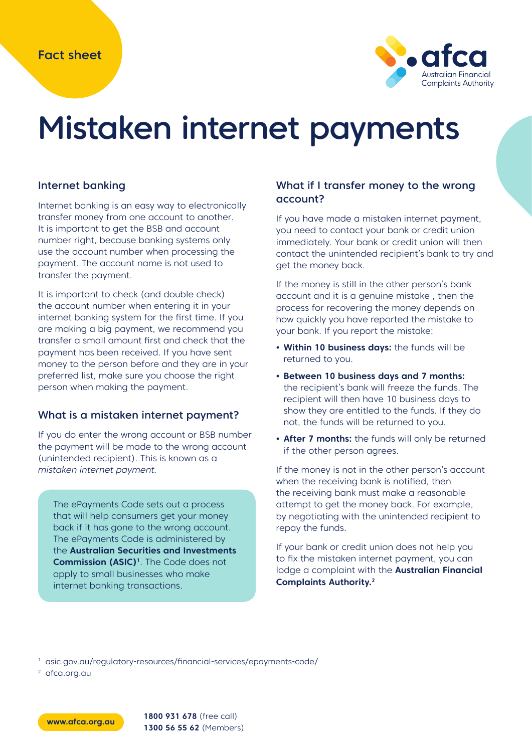

# Mistaken internet payments

#### Internet banking

Internet banking is an easy way to electronically transfer money from one account to another. It is important to get the BSB and account number right, because banking systems only use the account number when processing the payment. The account name is not used to transfer the payment.

It is important to check (and double check) the account number when entering it in your internet banking system for the first time. If you are making a big payment, we recommend you transfer a small amount first and check that the payment has been received. If you have sent money to the person before and they are in your preferred list, make sure you choose the right person when making the payment.

#### What is a mistaken internet payment?

If you do enter the wrong account or BSB number the payment will be made to the wrong account (unintended recipient). This is known as a mistaken internet payment.

The ePayments Code sets out a process that will help consumers get your money back if it has gone to the wrong account. The ePayments Code is administered by the **Australian Securities and Investments Commission (ASIC)<sup>1</sup>**. The Code does not apply to small businesses who make internet banking transactions.

#### What if I transfer money to the wrong account?

If you have made a mistaken internet payment, you need to contact your bank or credit union immediately. Your bank or credit union will then contact the unintended recipient's bank to try and get the money back.

If the money is still in the other person's bank account and it is a genuine mistake , then the process for recovering the money depends on how quickly you have reported the mistake to your bank. If you report the mistake:

- **• Within 10 business days:** the funds will be returned to you.
- **• Between 10 business days and 7 months:**  the recipient's bank will freeze the funds. The recipient will then have 10 business days to show they are entitled to the funds. If they do not, the funds will be returned to you.
- **• After 7 months:** the funds will only be returned if the other person agrees.

If the money is not in the other person's account when the receiving bank is notified, then the receiving bank must make a reasonable attempt to get the money back. For example, by negotiating with the unintended recipient to repay the funds.

If your bank or credit union does not help you to fix the mistaken internet payment, you can lodge a complaint with the **Australian Financial Complaints Authority.2**

<sup>1</sup> asic.gov.au/regulatory-resources/financial-services/epayments-code/

<sup>2</sup> afca.org.au

**www.afca.org.au 1800 931 678** (free call) **1300 56 55 62** (Members)